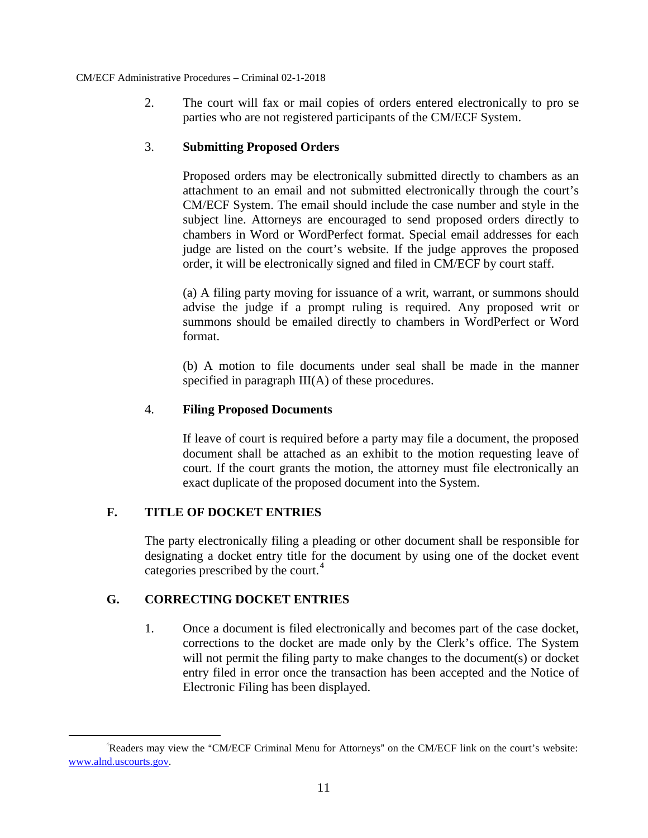2. The court will fax or mail copies of orders entered electronically to pro se parties who are not registered participants of the CM/ECF System.

# 3. **Submitting Proposed Orders**

Proposed orders may be electronically submitted directly to chambers as an attachment to an email and not submitted electronically through the court's CM/ECF System. The email should include the case number and style in the subject line. Attorneys are encouraged to send proposed orders directly to chambers in Word or WordPerfect format. Special email addresses for each judge are listed on the court's website. If the judge approves the proposed order, it will be electronically signed and filed in CM/ECF by court staff.

(a) A filing party moving for issuance of a writ, warrant, or summons should advise the judge if a prompt ruling is required. Any proposed writ or summons should be emailed directly to chambers in WordPerfect or Word format.

(b) A motion to file documents under seal shall be made in the manner specified in paragraph III(A) of these procedures.

# 4. **Filing Proposed Documents**

If leave of court is required before a party may file a document, the proposed document shall be attached as an exhibit to the motion requesting leave of court. If the court grants the motion, the attorney must file electronically an exact duplicate of the proposed document into the System.

# **F. TITLE OF DOCKET ENTRIES**

The party electronically filing a pleading or other document shall be responsible for designating a docket entry title for the document by using one of the docket event categories prescribed by the court.<sup>[4](#page-12-0)</sup>

# **G. CORRECTING DOCKET ENTRIES**

1. Once a document is filed electronically and becomes part of the case docket, corrections to the docket are made only by the Clerk's office. The System will not permit the filing party to make changes to the document(s) or docket entry filed in error once the transaction has been accepted and the Notice of Electronic Filing has been displayed.

<span id="page-12-0"></span><sup>&</sup>quot;Readers may view the "CM/ECF Criminal Menu for Attorneys" on the CM/ECF link on the court's website: www.alnd.uscourts.gov.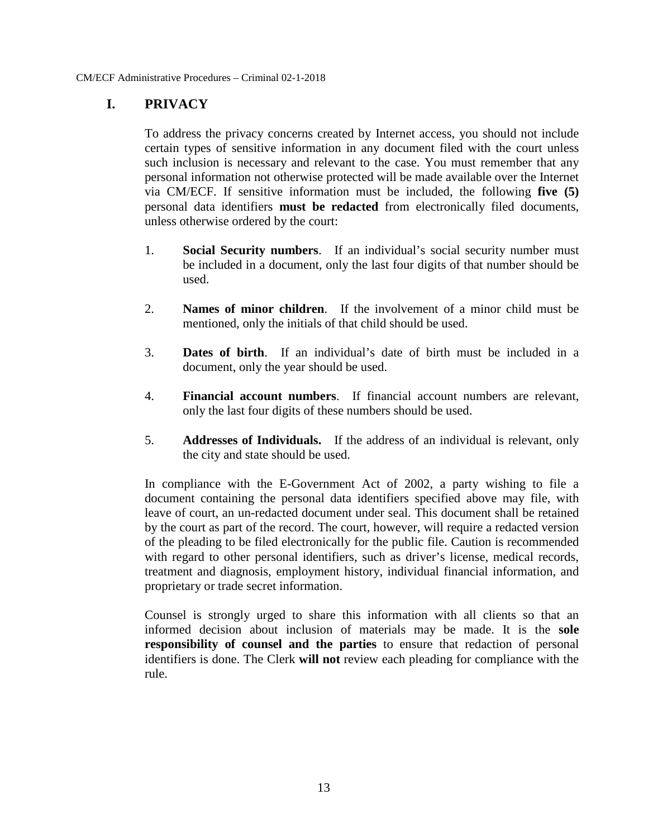# **I. PRIVACY**

To address the privacy concerns created by Internet access, you should not include certain types of sensitive information in any document filed with the court unless such inclusion is necessary and relevant to the case. You must remember that any personal information not otherwise protected will be made available over the Internet via CM/ECF. If sensitive information must be included, the following **five (5)** personal data identifiers **must be redacted** from electronically filed documents, unless otherwise ordered by the court:

- 1. **Social Security numbers**. If an individual's social security number must be included in a document, only the last four digits of that number should be used.
- 2. **Names of minor children**. If the involvement of a minor child must be mentioned, only the initials of that child should be used.
- 3. **Dates of birth**. If an individual's date of birth must be included in a document, only the year should be used.
- 4. **Financial account numbers**. If financial account numbers are relevant, only the last four digits of these numbers should be used.
- 5. **Addresses of Individuals.** If the address of an individual is relevant, only the city and state should be used.

In compliance with the E-Government Act of 2002, a party wishing to file a document containing the personal data identifiers specified above may file, with leave of court, an un-redacted document under seal. This document shall be retained by the court as part of the record. The court, however, will require a redacted version of the pleading to be filed electronically for the public file. Caution is recommended with regard to other personal identifiers, such as driver's license, medical records, treatment and diagnosis, employment history, individual financial information, and proprietary or trade secret information.

Counsel is strongly urged to share this information with all clients so that an informed decision about inclusion of materials may be made. It is the **sole responsibility of counsel and the parties** to ensure that redaction of personal identifiers is done. The Clerk **will not** review each pleading for compliance with the rule.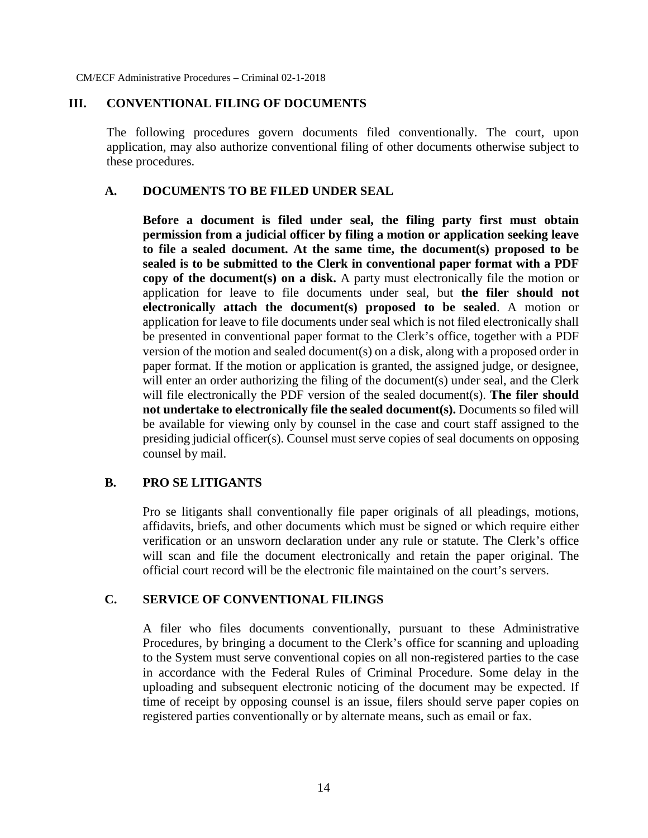#### **III. CONVENTIONAL FILING OF DOCUMENTS**

The following procedures govern documents filed conventionally. The court, upon application, may also authorize conventional filing of other documents otherwise subject to these procedures.

#### **A. DOCUMENTS TO BE FILED UNDER SEAL**

**Before a document is filed under seal, the filing party first must obtain permission from a judicial officer by filing a motion or application seeking leave to file a sealed document. At the same time, the document(s) proposed to be sealed is to be submitted to the Clerk in conventional paper format with a PDF copy of the document(s) on a disk.** A party must electronically file the motion or application for leave to file documents under seal, but **the filer should not electronically attach the document(s) proposed to be sealed**. A motion or application for leave to file documents under seal which is not filed electronically shall be presented in conventional paper format to the Clerk's office, together with a PDF version of the motion and sealed document(s) on a disk, along with a proposed order in paper format. If the motion or application is granted, the assigned judge, or designee, will enter an order authorizing the filing of the document(s) under seal, and the Clerk will file electronically the PDF version of the sealed document(s). **The filer should not undertake to electronically file the sealed document(s).** Documents so filed will be available for viewing only by counsel in the case and court staff assigned to the presiding judicial officer(s). Counsel must serve copies of seal documents on opposing counsel by mail.

#### **B. PRO SE LITIGANTS**

Pro se litigants shall conventionally file paper originals of all pleadings, motions, affidavits, briefs, and other documents which must be signed or which require either verification or an unsworn declaration under any rule or statute. The Clerk's office will scan and file the document electronically and retain the paper original. The official court record will be the electronic file maintained on the court's servers.

#### **C. SERVICE OF CONVENTIONAL FILINGS**

A filer who files documents conventionally, pursuant to these Administrative Procedures, by bringing a document to the Clerk's office for scanning and uploading to the System must serve conventional copies on all non-registered parties to the case in accordance with the Federal Rules of Criminal Procedure. Some delay in the uploading and subsequent electronic noticing of the document may be expected. If time of receipt by opposing counsel is an issue, filers should serve paper copies on registered parties conventionally or by alternate means, such as email or fax.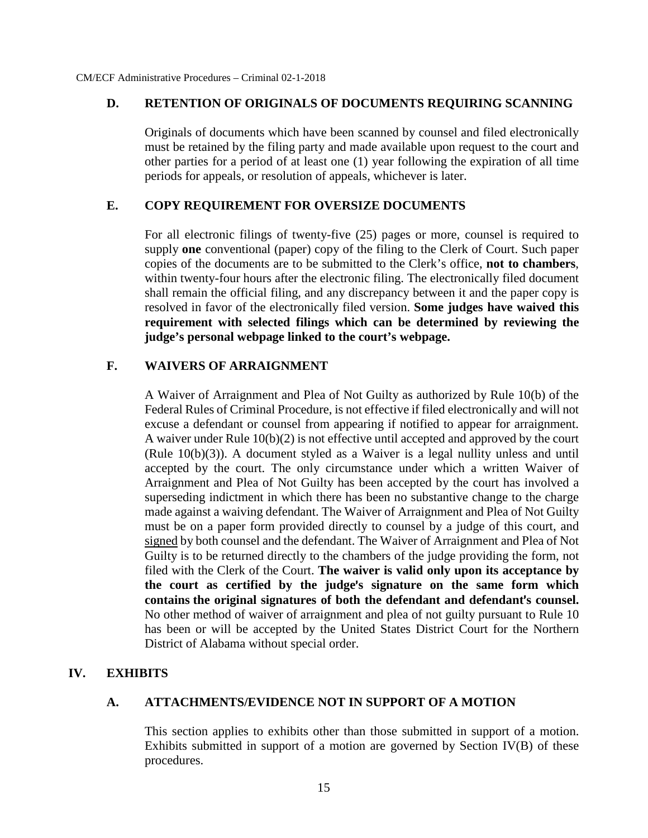#### **D. RETENTION OF ORIGINALS OF DOCUMENTS REQUIRING SCANNING**

Originals of documents which have been scanned by counsel and filed electronically must be retained by the filing party and made available upon request to the court and other parties for a period of at least one (1) year following the expiration of all time periods for appeals, or resolution of appeals, whichever is later.

#### **E. COPY REQUIREMENT FOR OVERSIZE DOCUMENTS**

For all electronic filings of twenty-five (25) pages or more, counsel is required to supply **one** conventional (paper) copy of the filing to the Clerk of Court. Such paper copies of the documents are to be submitted to the Clerk's office, **not to chambers**, within twenty-four hours after the electronic filing. The electronically filed document shall remain the official filing, and any discrepancy between it and the paper copy is resolved in favor of the electronically filed version. **Some judges have waived this requirement with selected filings which can be determined by reviewing the judge's personal webpage linked to the court's webpage.**

#### **F. WAIVERS OF ARRAIGNMENT**

A Waiver of Arraignment and Plea of Not Guilty as authorized by Rule 10(b) of the Federal Rules of Criminal Procedure, is not effective if filed electronically and will not excuse a defendant or counsel from appearing if notified to appear for arraignment. A waiver under Rule 10(b)(2) is not effective until accepted and approved by the court (Rule 10(b)(3)). A document styled as a Waiver is a legal nullity unless and until accepted by the court. The only circumstance under which a written Waiver of Arraignment and Plea of Not Guilty has been accepted by the court has involved a superseding indictment in which there has been no substantive change to the charge made against a waiving defendant. The Waiver of Arraignment and Plea of Not Guilty must be on a paper form provided directly to counsel by a judge of this court, and signed by both counsel and the defendant. The Waiver of Arraignment and Plea of Not Guilty is to be returned directly to the chambers of the judge providing the form, not filed with the Clerk of the Court. **The waiver is valid only upon its acceptance by** the court as certified by the judge's signature on the same form which contains the original signatures of both the defendant and defendant's counsel. No other method of waiver of arraignment and plea of not guilty pursuant to Rule 10 has been or will be accepted by the United States District Court for the Northern District of Alabama without special order.

#### **IV. EXHIBITS**

#### **A. ATTACHMENTS/EVIDENCE NOT IN SUPPORT OF A MOTION**

This section applies to exhibits other than those submitted in support of a motion. Exhibits submitted in support of a motion are governed by Section IV(B) of these procedures.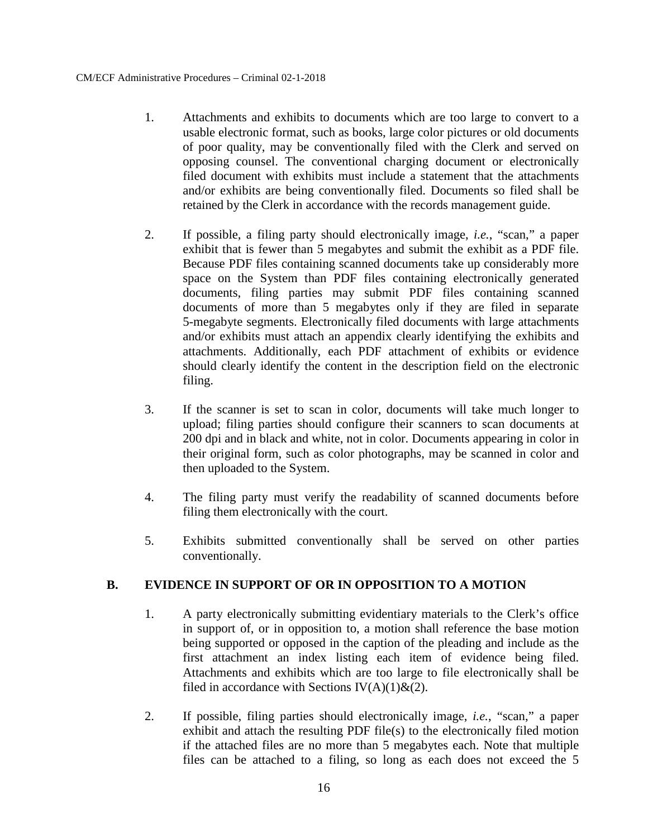- 1. Attachments and exhibits to documents which are too large to convert to a usable electronic format, such as books, large color pictures or old documents of poor quality, may be conventionally filed with the Clerk and served on opposing counsel. The conventional charging document or electronically filed document with exhibits must include a statement that the attachments and/or exhibits are being conventionally filed. Documents so filed shall be retained by the Clerk in accordance with the records management guide.
- 2. If possible, a filing party should electronically image, *i.e.*, "scan," a paper exhibit that is fewer than 10 megabytes and submit the exhibit as a PDF file. Because PDF files containing scanned documents take up considerably more space on the System than PDF files containing electronically generated documents, filing parties may submit PDF files containing scanned documents of more than 10 megabytes only if they are filed in separate 10-megabyte segments. Electronically filed documents with large attachments and/or exhibits must attach an appendix clearly identifying the exhibits and attachments. Additionally, each PDF attachment of exhibits or evidence should clearly identify the content in the description field on the electronic filing.
- 3. If the scanner is set to scan in color, documents will take much longer to upload; filing parties should configure their scanners to scan documents at 200 dpi and in black and white, not in color. Documents appearing in color in their original form, such as color photographs, may be scanned in color and then uploaded to the System.
- 4. The filing party must verify the readability of scanned documents before filing them electronically with the court.
- 5. Exhibits submitted conventionally shall be served on other parties conventionally.

# **B. EVIDENCE IN SUPPORT OF OR IN OPPOSITION TO A MOTION**

- 1. A party electronically submitting evidentiary materials to the Clerk's office in support of, or in opposition to, a motion shall reference the base motion being supported or opposed in the caption of the pleading and include as the first attachment an index listing each item of evidence being filed. Attachments and exhibits which are too large to file electronically shall be filed in accordance with Sections IV(A)(1)&(2).
- 2. If possible, filing parties should electronically image, *i.e.*, "scan," a paper exhibit and attach the resulting PDF file(s) to the electronically filed motion if the attached files are no more than 10 megabytes each. Note that multiple files can be attached to a filing, so long as each does not exceed the 10 megabyte limitation.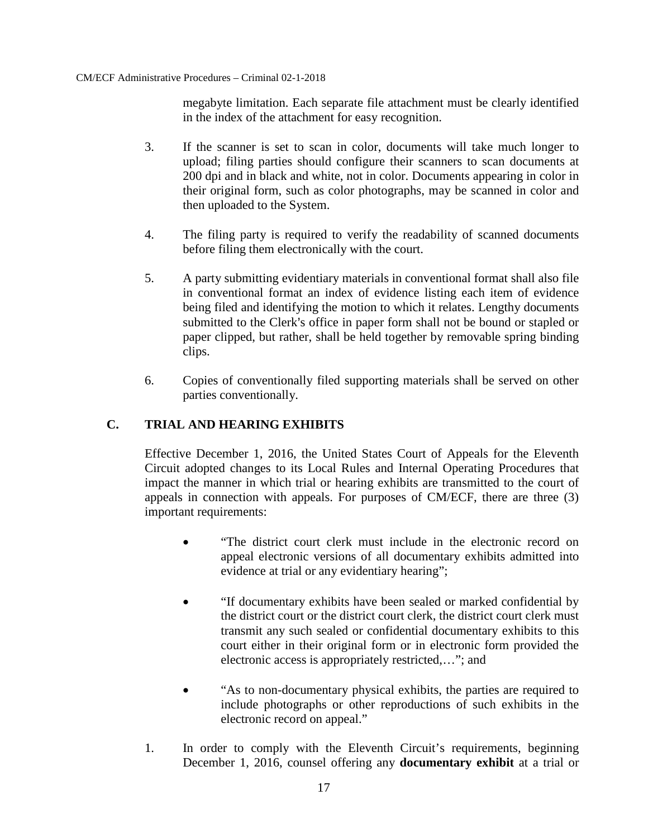Each separate file attachment must be clearly identified in the index of the attachment for easy recognition.

- 3. If the scanner is set to scan in color, documents will take much longer to upload; filing parties should configure their scanners to scan documents at 200 dpi and in black and white, not in color. Documents appearing in color in their original form, such as color photographs, may be scanned in color and then uploaded to the System.
- 4. The filing party is required to verify the readability of scanned documents before filing them electronically with the court.
- 5. A party submitting evidentiary materials in conventional format shall also file in conventional format an index of evidence listing each item of evidence being filed and identifying the motion to which it relates. Lengthy documents submitted to the Clerk's office in paper form shall not be bound or stapled or paper clipped, but rather, shall be held together by removable spring binding clips.
- 6. Copies of conventionally filed supporting materials shall be served on other parties conventionally.

# **C. TRIAL AND HEARING EXHIBITS**

Effective December 1, 2016, the United States Court of Appeals for the Eleventh Circuit adopted changes to its Local Rules and Internal Operating Procedures that impact the manner in which trial or hearing exhibits are transmitted to the court of appeals in connection with appeals. For purposes of CM/ECF, there are three (3) important requirements:

- "The district court clerk must include in the electronic record on appeal electronic versions of all documentary exhibits admitted into evidence at trial or any evidentiary hearing";
- "If documentary exhibits have been sealed or marked confidential by the district court or the district court clerk, the district court clerk must transmit any such sealed or confidential documentary exhibits to this court either in their original form or in electronic form provided the electronic access is appropriately restricted,…"; and
- "As to non-documentary physical exhibits, the parties are required to include photographs or other reproductions of such exhibits in the electronic record on appeal."
- 1. In order to comply with the Eleventh Circuit's requirements, beginning December 1, 2016, counsel offering any **documentary exhibit** at a trial or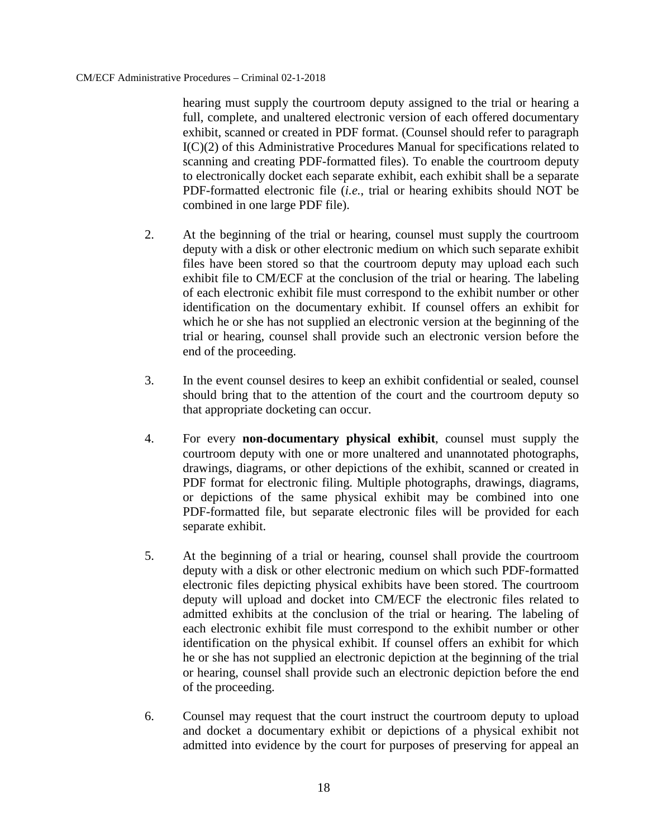hearing must supply the courtroom deputy assigned to the trial or hearing a full, complete, and unaltered electronic version of each offered documentary exhibit, scanned or created in PDF format. (Counsel should refer to paragraph I(C)(2) of this Administrative Procedures Manual for specifications related to scanning and creating PDF-formatted files). To enable the courtroom deputy to electronically docket each separate exhibit, each exhibit shall be a separate PDF-formatted electronic file (*i.e.*, trial or hearing exhibits should NOT be combined in one large PDF file).

- 2. At the beginning of the trial or hearing, counsel must supply the courtroom deputy with a disk or other electronic medium on which such separate exhibit files have been stored so that the courtroom deputy may upload each such exhibit file to CM/ECF at the conclusion of the trial or hearing. The labeling of each electronic exhibit file must correspond to the exhibit number or other identification on the documentary exhibit. If counsel offers an exhibit for which he or she has not supplied an electronic version at the beginning of the trial or hearing, counsel shall provide such an electronic version before the end of the proceeding.
- 3. In the event counsel desires to keep an exhibit confidential or sealed, counsel should bring that to the attention of the court and the courtroom deputy so that appropriate docketing can occur.
- 4. For every **non-documentary physical exhibit**, counsel must supply the courtroom deputy with one or more unaltered and unannotated photographs, drawings, diagrams, or other depictions of the exhibit, scanned or created in PDF format for electronic filing. Multiple photographs, drawings, diagrams, or depictions of the same physical exhibit may be combined into one PDF-formatted file, but separate electronic files will be provided for each separate exhibit.
- 5. At the beginning of a trial or hearing, counsel shall provide the courtroom deputy with a disk or other electronic medium on which such PDF-formatted electronic files depicting physical exhibits have been stored. The courtroom deputy will upload and docket into CM/ECF the electronic files related to admitted exhibits at the conclusion of the trial or hearing. The labeling of each electronic exhibit file must correspond to the exhibit number or other identification on the physical exhibit. If counsel offers an exhibit for which he or she has not supplied an electronic depiction at the beginning of the trial or hearing, counsel shall provide such an electronic depiction before the end of the proceeding.
- 6. Counsel may request that the court instruct the courtroom deputy to upload and docket a documentary exhibit or depictions of a physical exhibit not admitted into evidence by the court for purposes of preserving for appeal an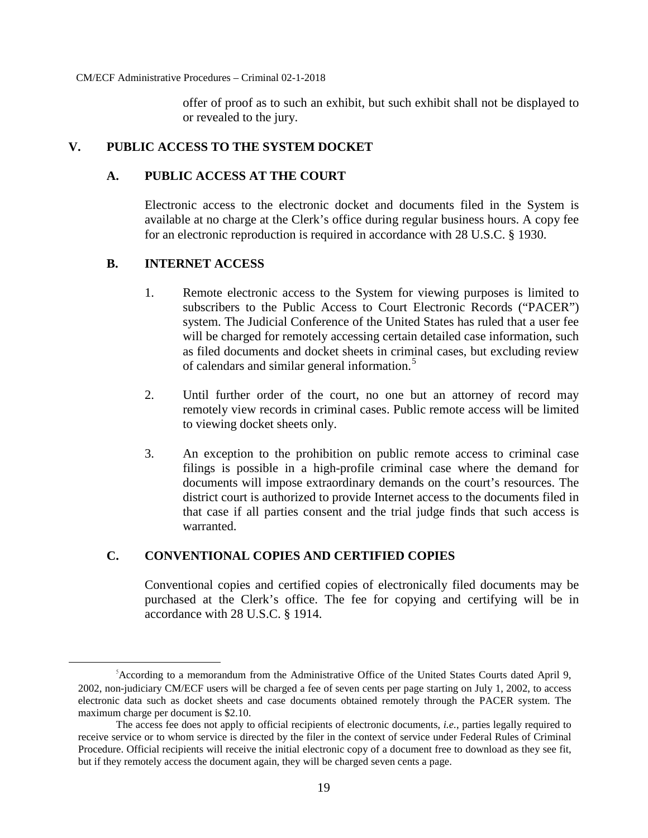offer of proof as to such an exhibit, but such exhibit shall not be displayed to or revealed to the jury.

# **V. PUBLIC ACCESS TO THE SYSTEM DOCKET**

# **A. PUBLIC ACCESS AT THE COURT**

Electronic access to the electronic docket and documents filed in the System is available at no charge at the Clerk's office during regular business hours. A copy fee for an electronic reproduction is required in accordance with 28 U.S.C. § 1930.

#### **B. INTERNET ACCESS**

- 1. Remote electronic access to the System for viewing purposes is limited to subscribers to the Public Access to Court Electronic Records ("PACER") system. The Judicial Conference of the United States has ruled that a user fee will be charged for remotely accessing certain detailed case information, such as filed documents and docket sheets in criminal cases, but excluding review of calendars and similar general information.<sup>[5](#page-20-0)</sup>
- 2. Until further order of the court, no one but an attorney of record may remotely view records in criminal cases. Public remote access will be limited to viewing docket sheets only.
- 3. An exception to the prohibition on public remote access to criminal case filings is possible in a high-profile criminal case where the demand for documents will impose extraordinary demands on the court's resources. The district court is authorized to provide Internet access to the documents filed in that case if all parties consent and the trial judge finds that such access is warranted.

# **C. CONVENTIONAL COPIES AND CERTIFIED COPIES**

Conventional copies and certified copies of electronically filed documents may be purchased at the Clerk's office. The fee for copying and certifying will be in accordance with 28 U.S.C. § 1914.

<span id="page-20-0"></span><sup>&</sup>lt;sup>5</sup> According to a memorandum from the Administrative Office of the United States Courts dated April 9, 2002, non-judiciary CM/ECF users will be charged a fee of seven cents per page starting on July 1, 2002, to access electronic data such as docket sheets and case documents obtained remotely through the PACER system. The maximum charge per document is \$2.10.

The access fee does not apply to official recipients of electronic documents, *i.e.*, parties legally required to receive service or to whom service is directed by the filer in the context of service under Federal Rules of Criminal Procedure. Official recipients will receive the initial electronic copy of a document free to download as they see fit, but if they remotely access the document again, they will be charged seven cents a page.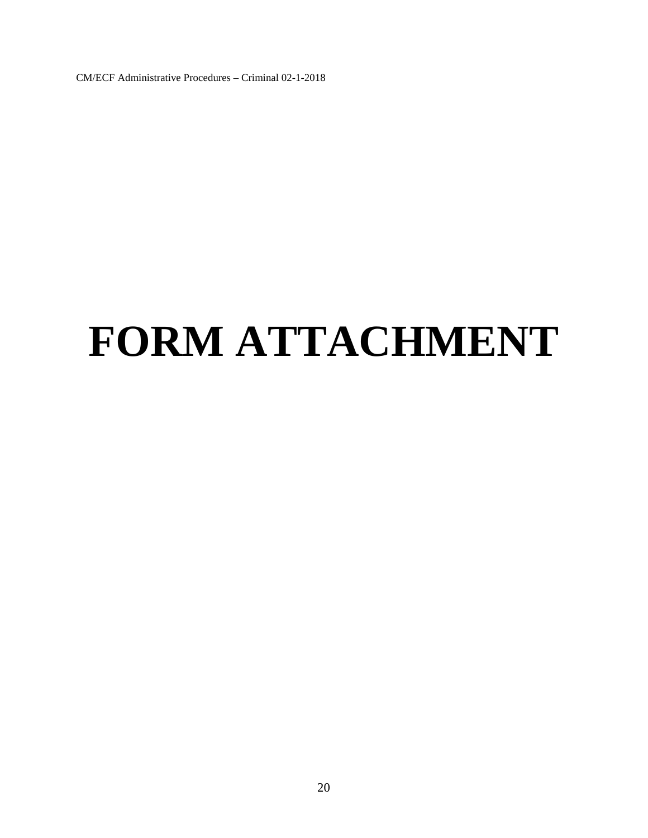# **FORM ATTACHMENT**